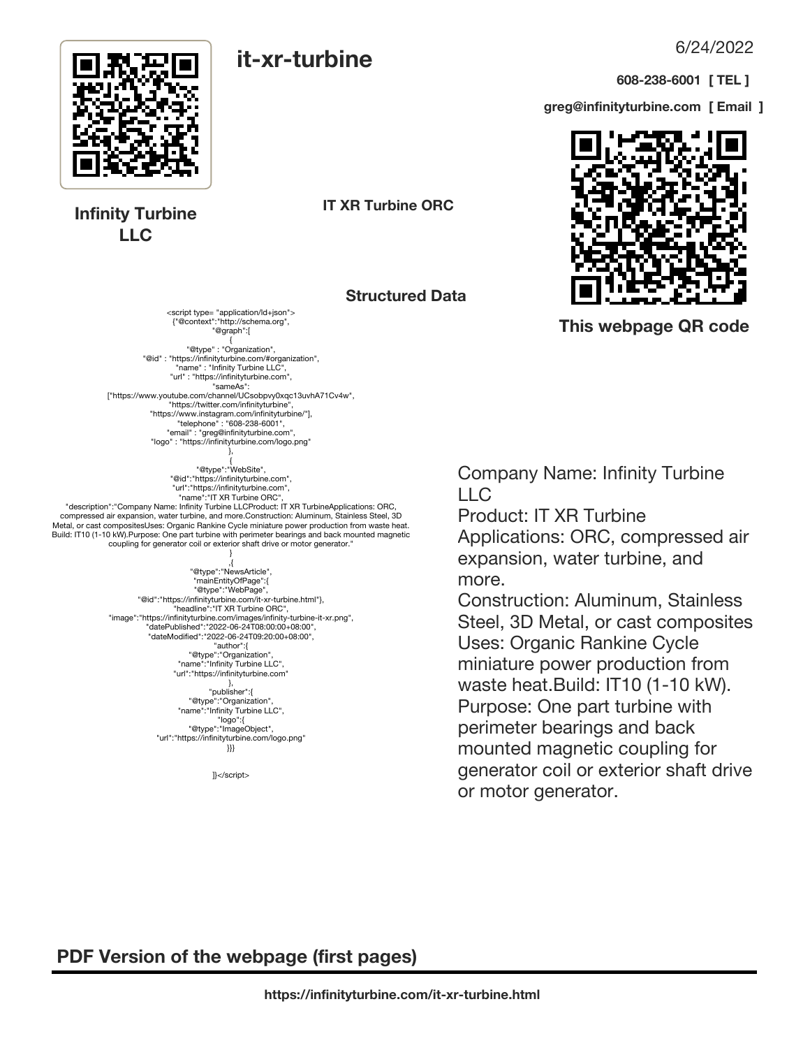6/24/2022

**608-238-6001 [ TEL ]**

**greg@infinityturbine.com [ Email ]**



 **This webpage QR code**

# **it-xr-turbine**



**Infinity Turbine LLC**

**IT XR Turbine ORC**

#### **Structured Data**

<script type= "application/ld+json"> {"@context":"http://schema.org", "@graph":[ { "@type" : "Organization",

"@id" : "https://infinityturbine.com/#organization", "name" : "Infinity Turbine LLC", "url" : "https://infinityturbine.com", "sameAs": ["https://www.youtube.com/channel/UCsobpvy0xqc13uvhA71Cv4w",

"https://twitter.com/infinityturbine", "https://www.instagram.com/infinityturbine/"], "telephone" : "608-238-6001", "email" : "greg@infinityturbine.com", "logo" : "https://infinityturbine.com/logo.png" },

{ "@type":"WebSite", "@id":"https://infinityturbine.com",

"url":"https://infinityturbine.com", "name":"IT XR Turbine ORC",

"description":"Company Name: Infinity Turbine LLCProduct: IT XR TurbineApplications: ORC, compressed air expansion, water turbine, and more.Construction: Aluminum, Stainless Steel, 3D Metal, or cast compositesUses: Organic Rankine Cycle miniature power production from waste heat. Build: IT10 (1-10 kW).Purpose: One part turbine with perimeter bearings and back mounted magnetic coupling for generator coil or exterior shaft drive or motor generator."

} },<br>,"@type":"NewsArticle", "mainEntityOfPage":{ "@type":"WebPage", "@id":"https://infinityturbine.com/it-xr-turbine.html"}, "headline":"IT XR Turbine ORC", "image":"https://infinityturbine.com/images/infinity-turbine-it-xr.png", "datePublished":"2022-06-24T08:00:00+08:00", "dateModified":"2022-06-24T09:20:00+08:00", ):"author"<br>,"@type":"Organization",<br>"name":"Infinity Turbine LLC", "url":"https://infinityturbine.com" }, "publisher":{ "@type":"Organization", "name":"Infinity Turbine LLC", "logo":{ "@type":"ImageObject", "url":"https://infinityturbine.com/logo.png" }}}

]}</script>

Company Name: Infinity Turbine LLC

Product: IT XR Turbine Applications: ORC, compressed air expansion, water turbine, and more.

Construction: Aluminum, Stainless Steel, 3D Metal, or cast composites Uses: Organic Rankine Cycle miniature power production from waste heat.Build: IT10 (1-10 kW). Purpose: One part turbine with perimeter bearings and back mounted magnetic coupling for generator coil or exterior shaft drive or motor generator.

# **PDF Version of the webpage (first pages)**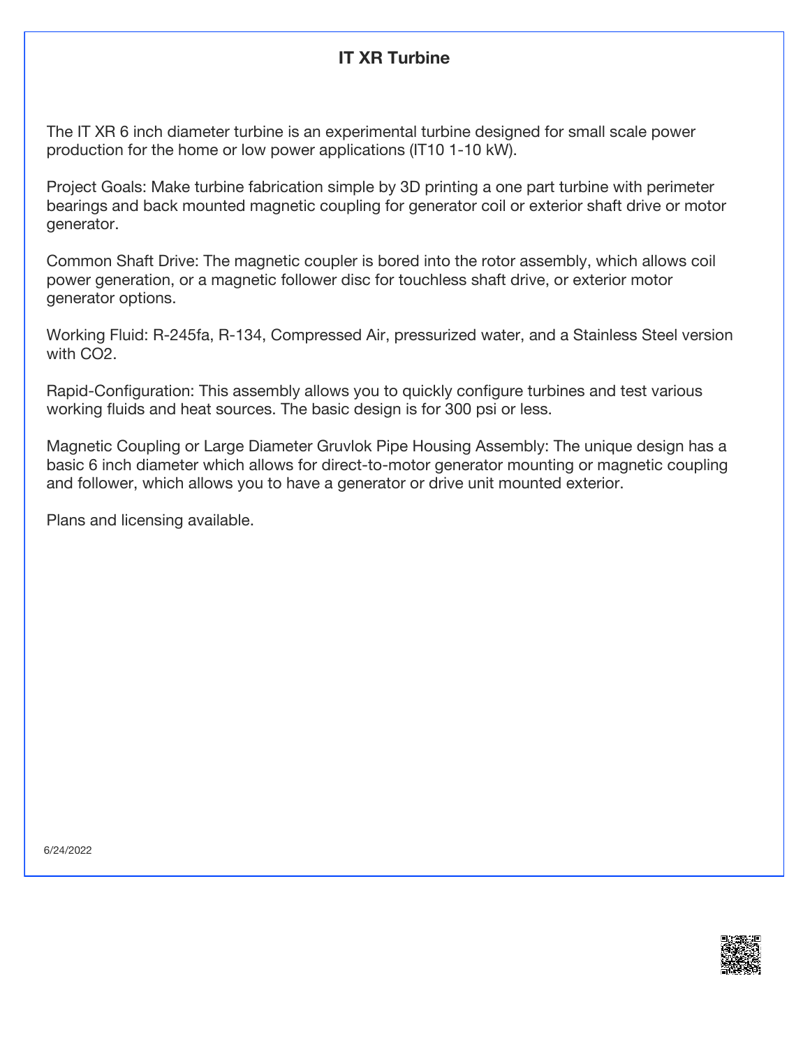The IT XR 6 inch diameter turbine is an experimental turbine designed for small scale power production for the home or low power applications (IT10 1-10 kW).

Project Goals: Make turbine fabrication simple by 3D printing a one part turbine with perimeter bearings and back mounted magnetic coupling for generator coil or exterior shaft drive or motor generator.

Common Shaft Drive: The magnetic coupler is bored into the rotor assembly, which allows coil power generation, or a magnetic follower disc for touchless shaft drive, or exterior motor generator options.

Working Fluid: R-245fa, R-134, Compressed Air, pressurized water, and a Stainless Steel version with CO2.

Rapid-Configuration: This assembly allows you to quickly configure turbines and test various working fluids and heat sources. The basic design is for 300 psi or less.

Magnetic Coupling or Large Diameter Gruvlok Pipe Housing Assembly: The unique design has a basic 6 inch diameter which allows for direct-to-motor generator mounting or magnetic coupling and follower, which allows you to have a generator or drive unit mounted exterior.

Plans and licensing available.

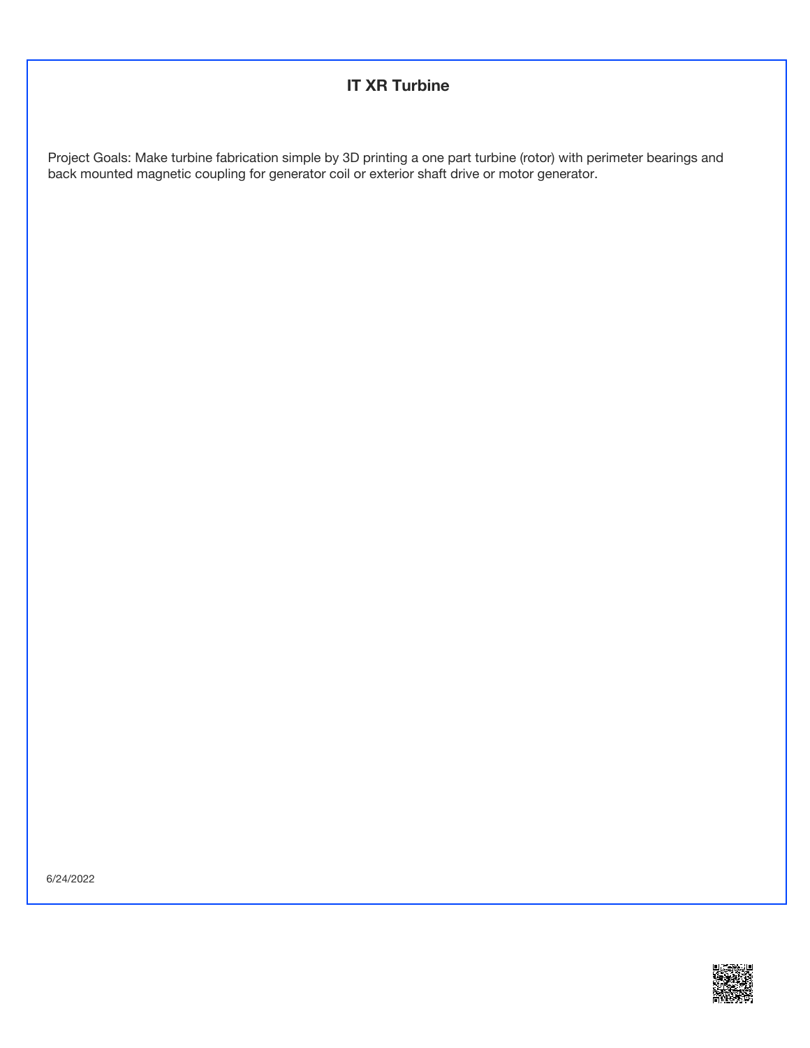Project Goals: Make turbine fabrication simple by 3D printing a one part turbine (rotor) with perimeter bearings and back mounted magnetic coupling for generator coil or exterior shaft drive or motor generator.

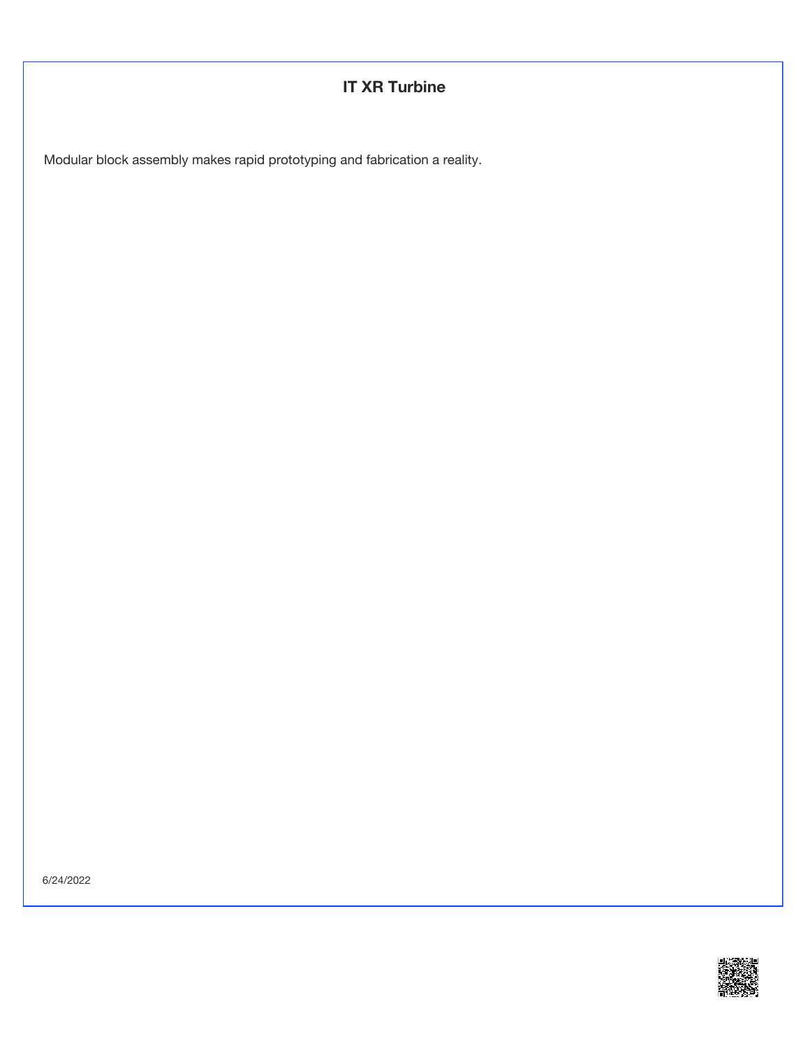Modular block assembly makes rapid prototyping and fabrication a reality.

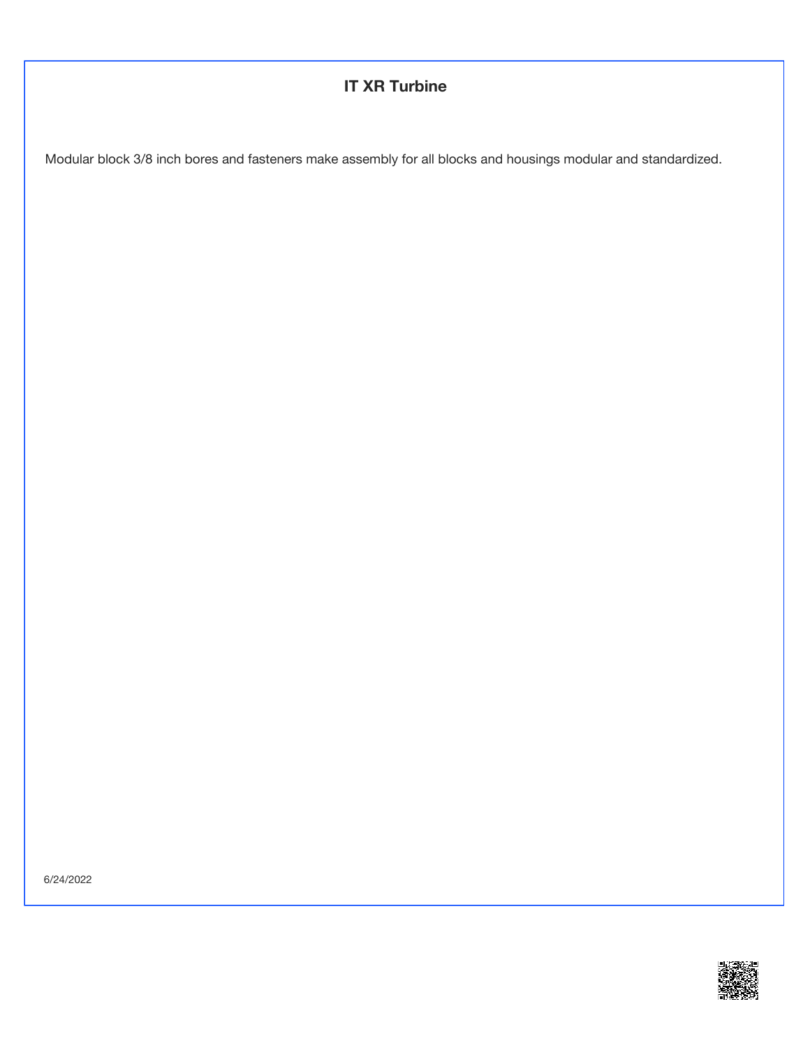Modular block 3/8 inch bores and fasteners make assembly for all blocks and housings modular and standardized.

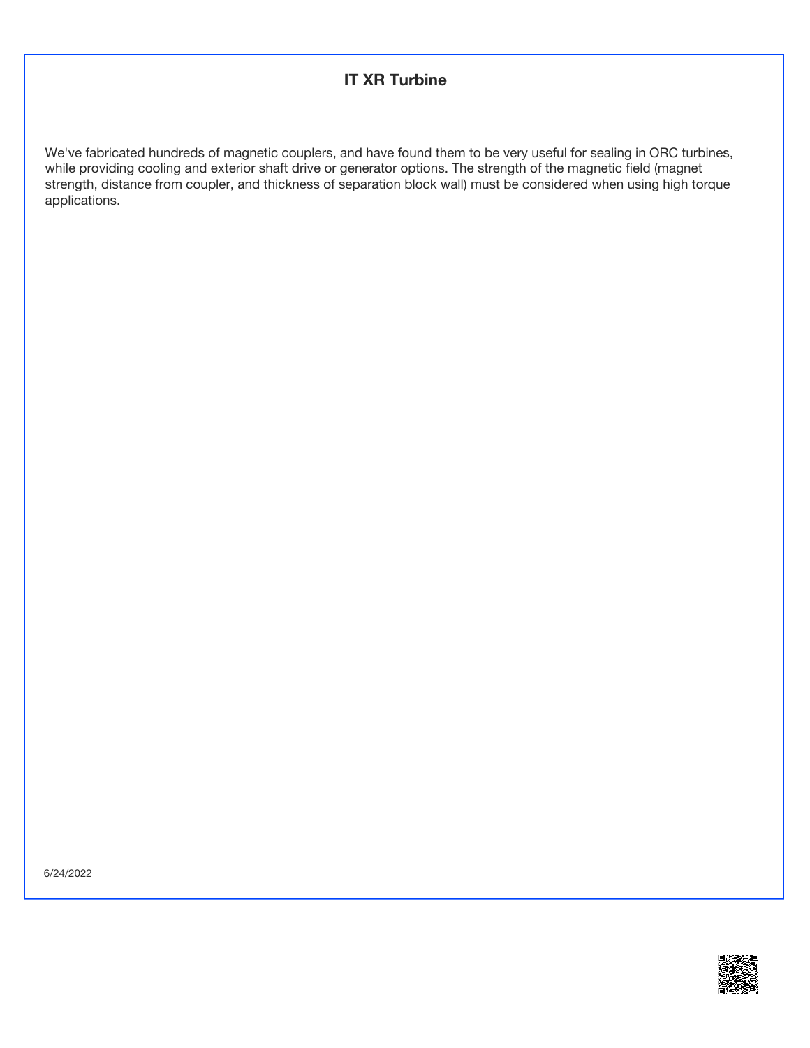We've fabricated hundreds of magnetic couplers, and have found them to be very useful for sealing in ORC turbines, while providing cooling and exterior shaft drive or generator options. The strength of the magnetic field (magnet strength, distance from coupler, and thickness of separation block wall) must be considered when using high torque applications.

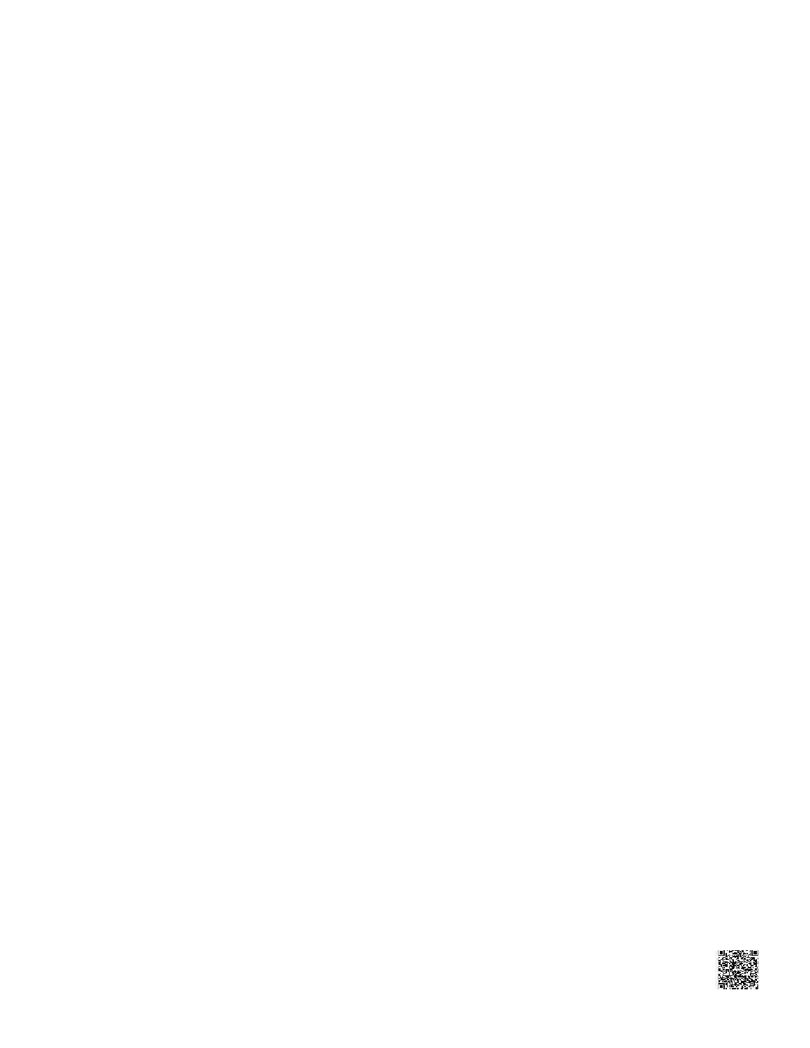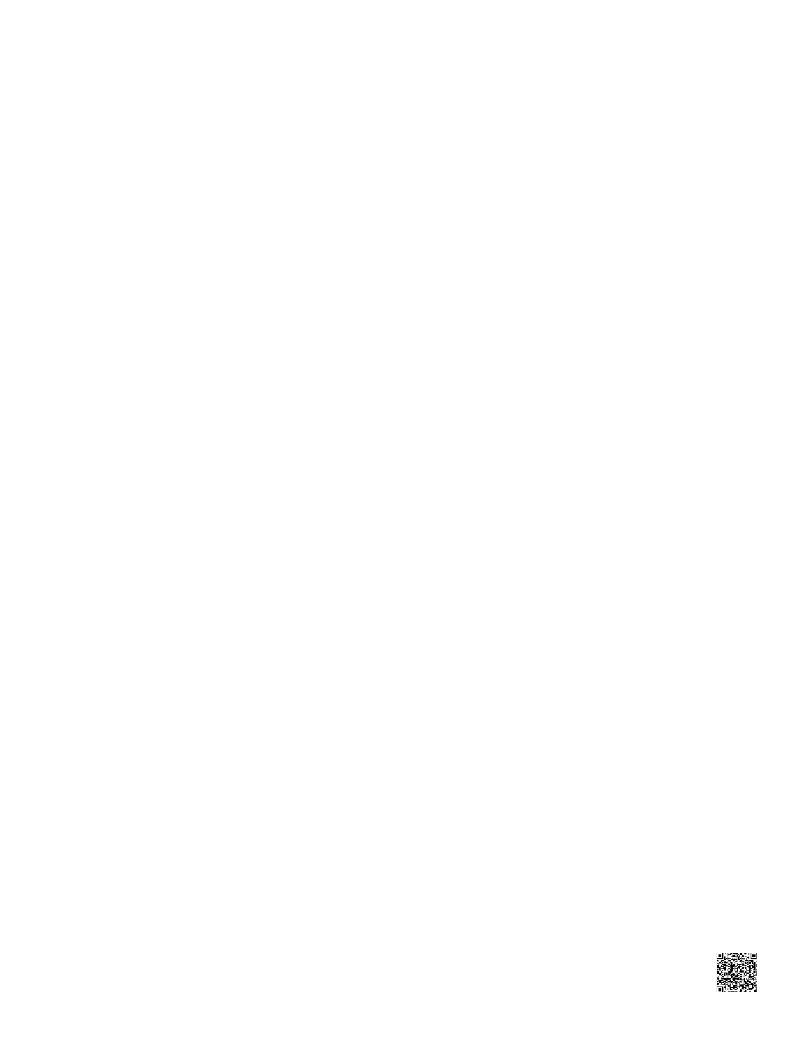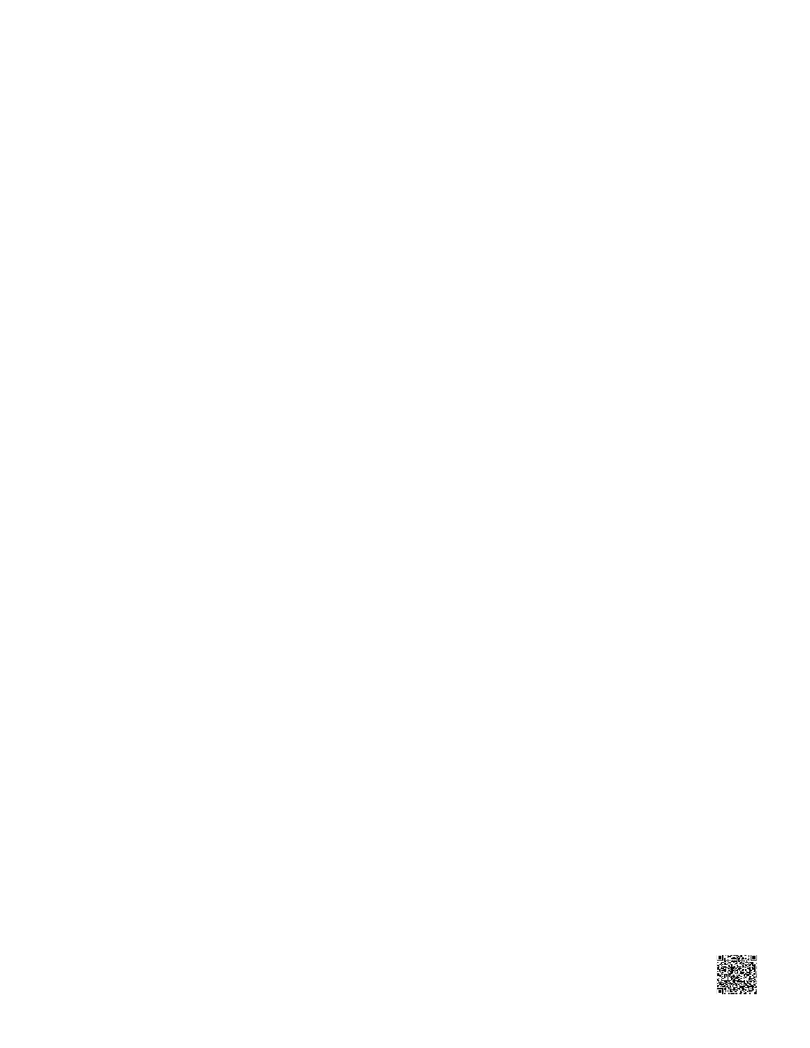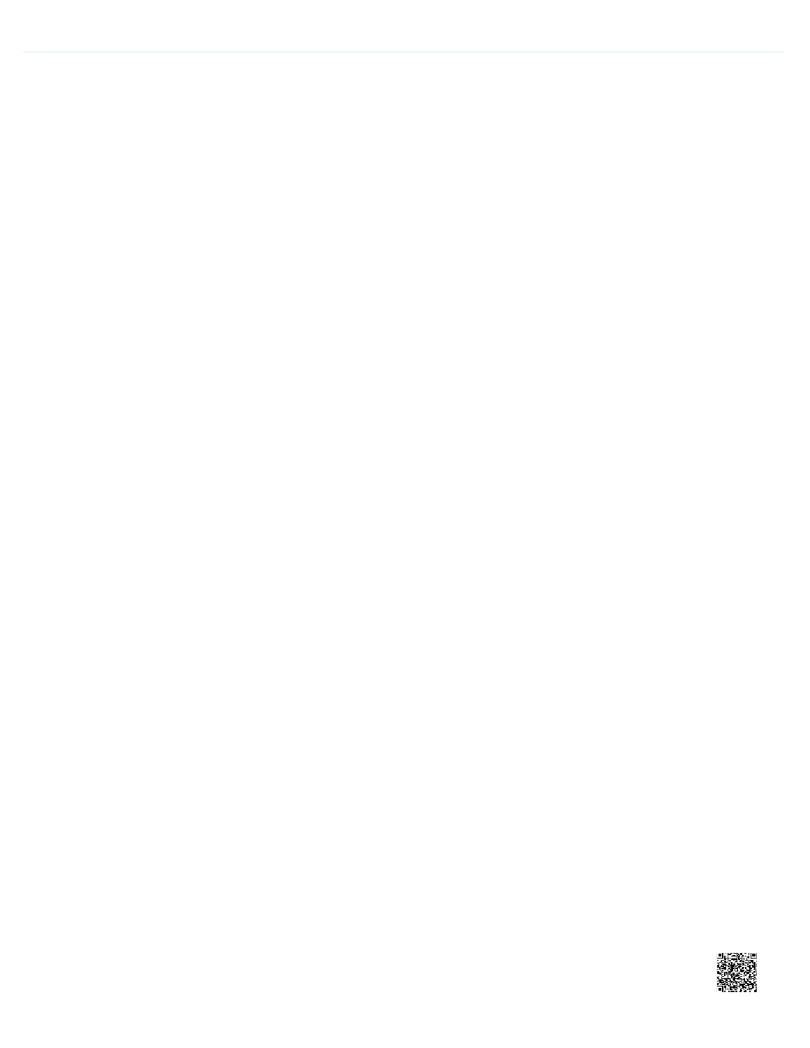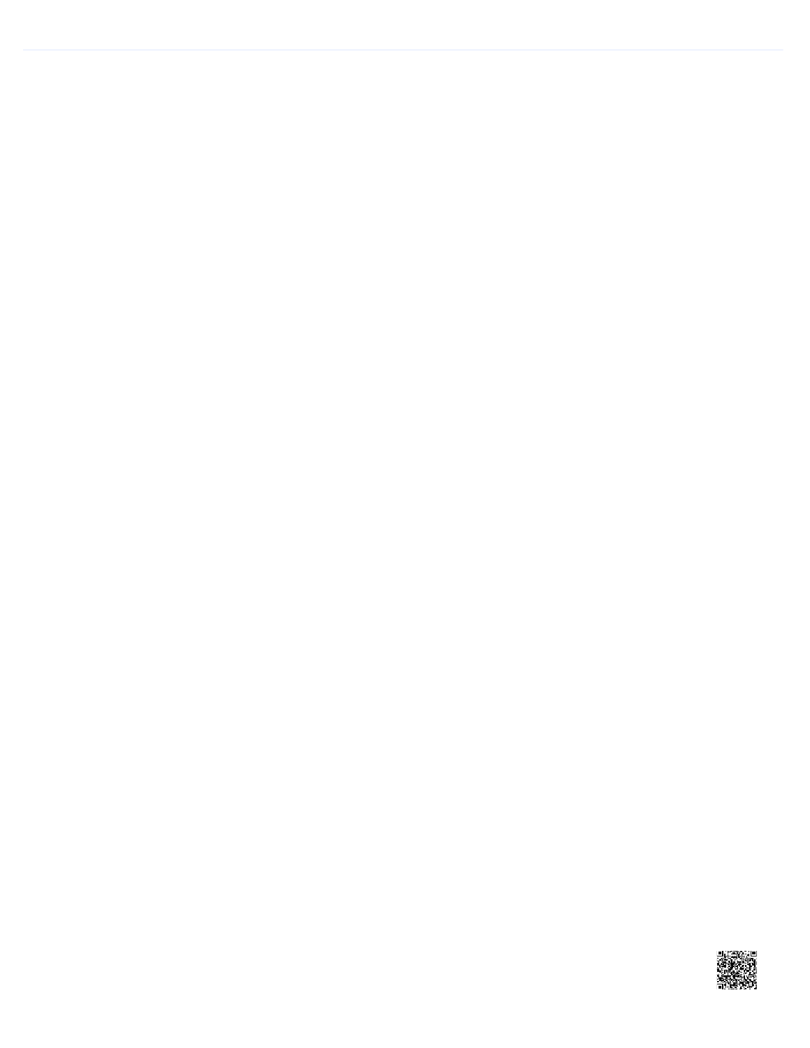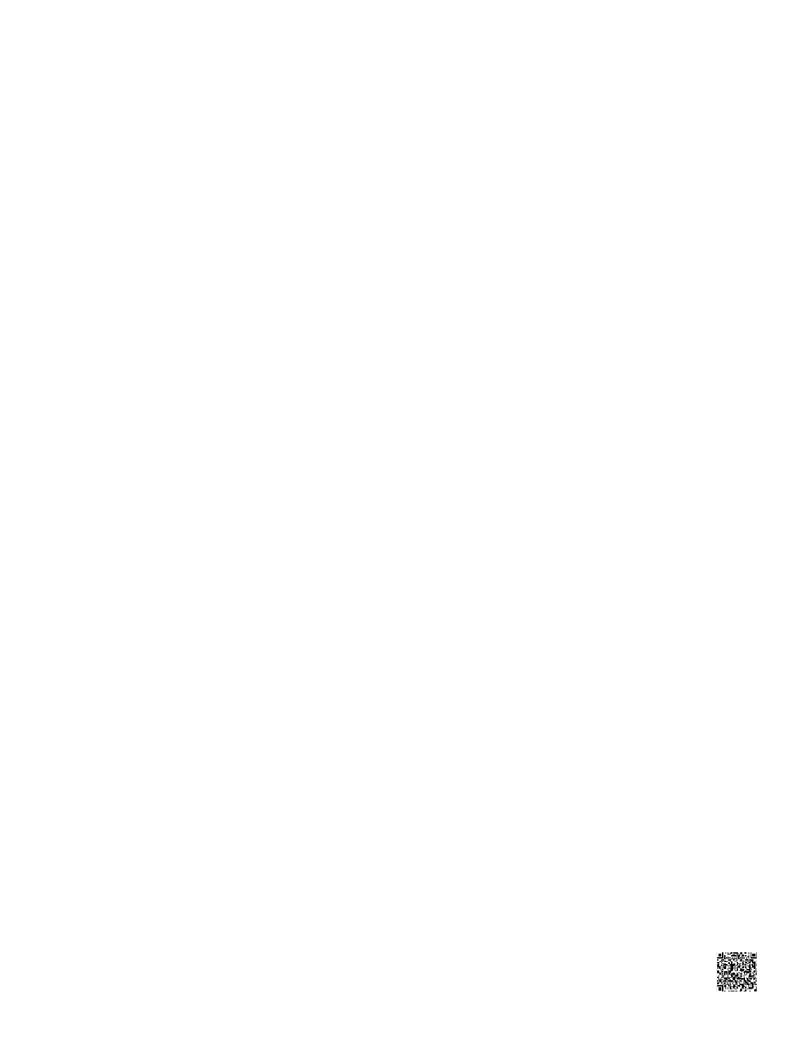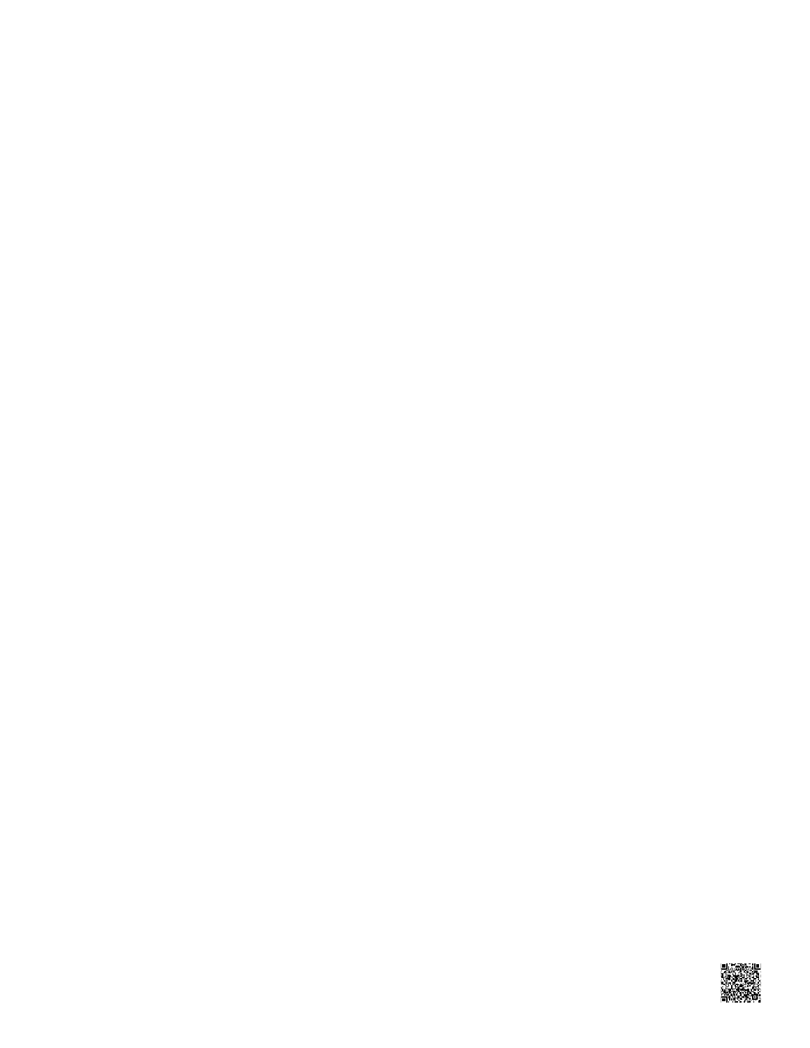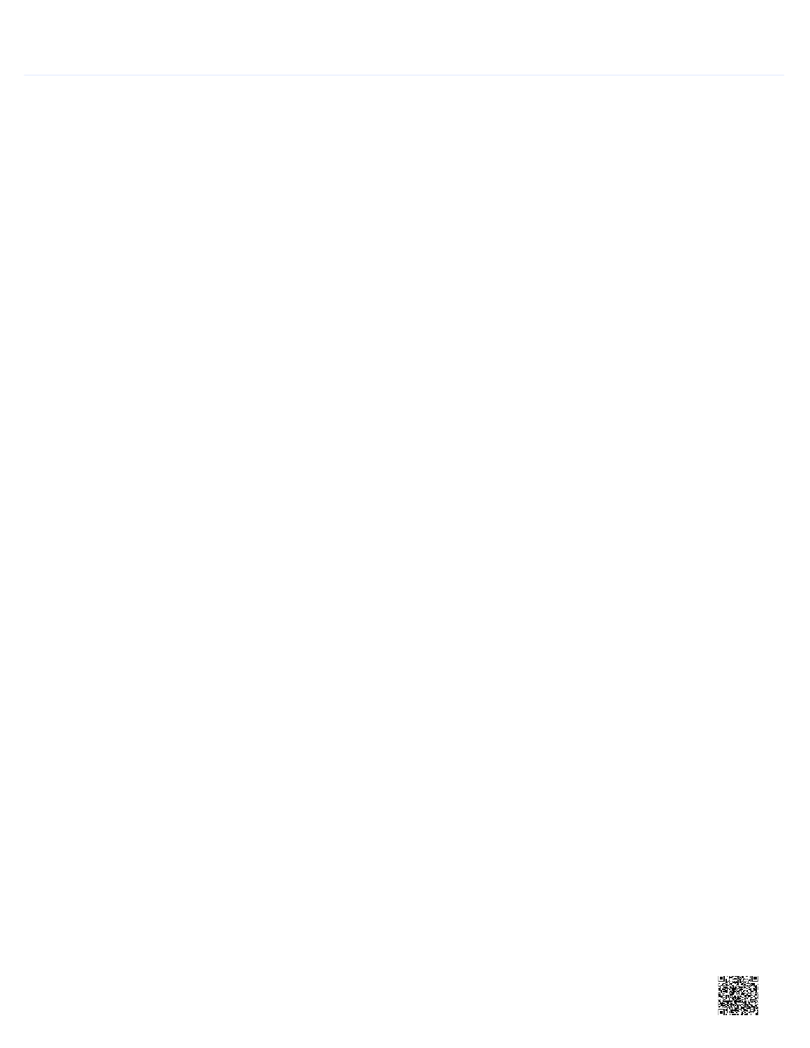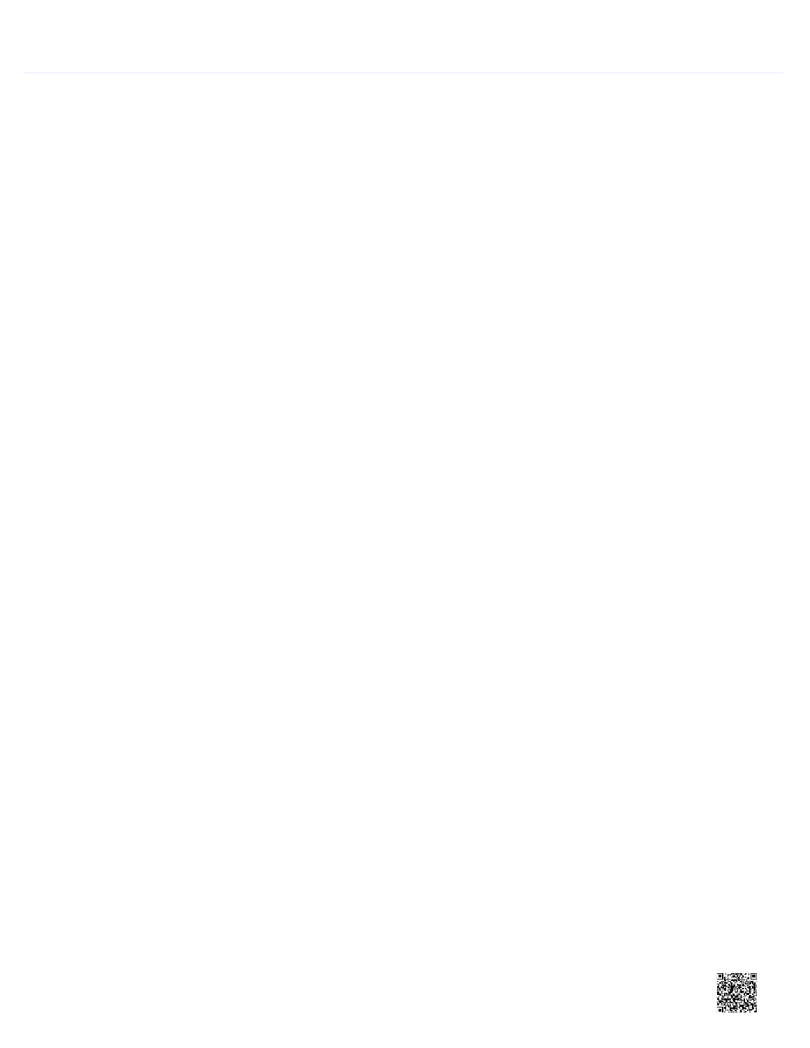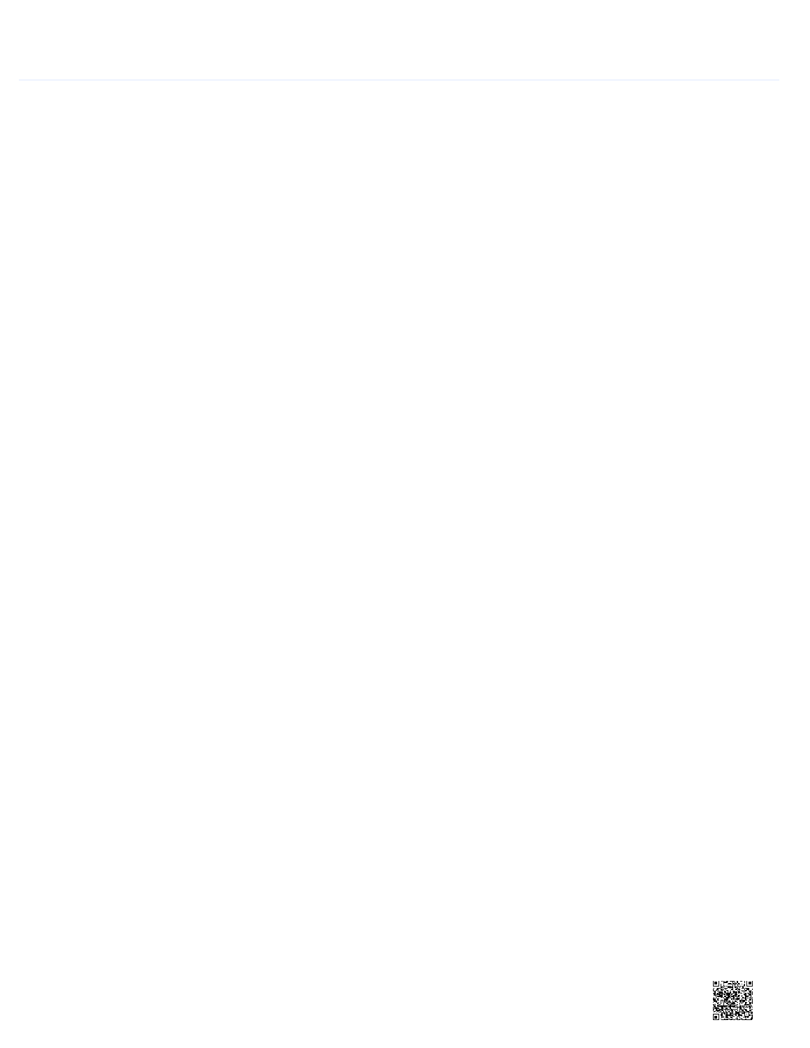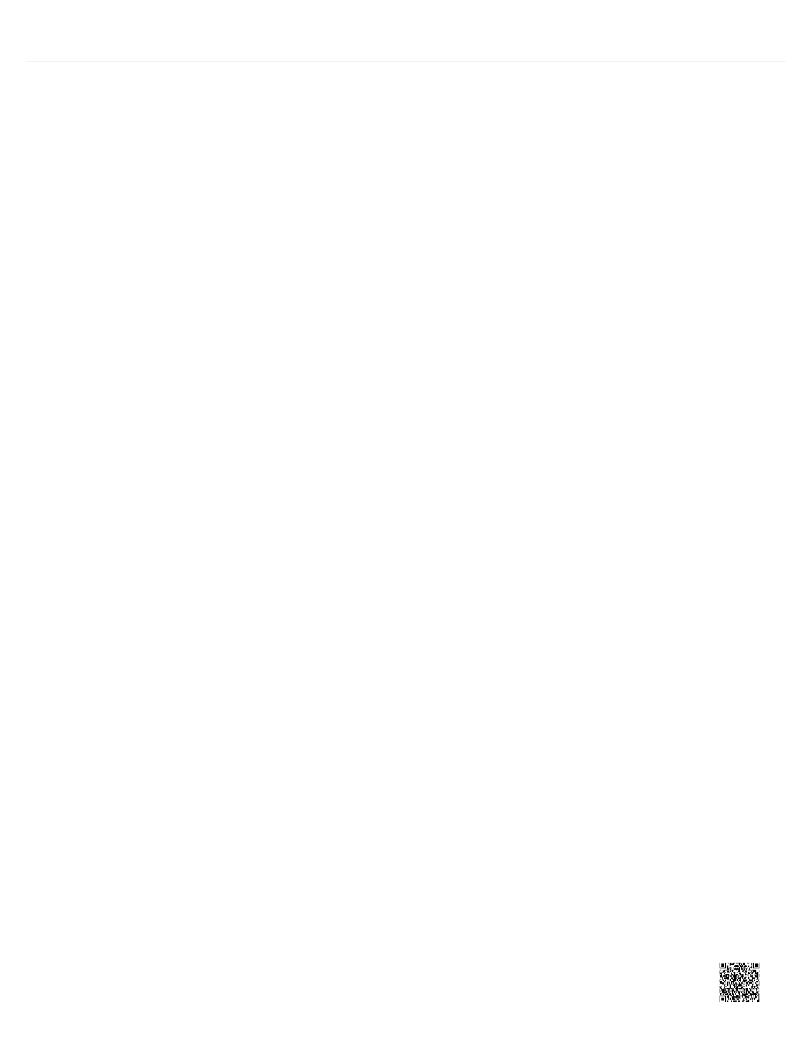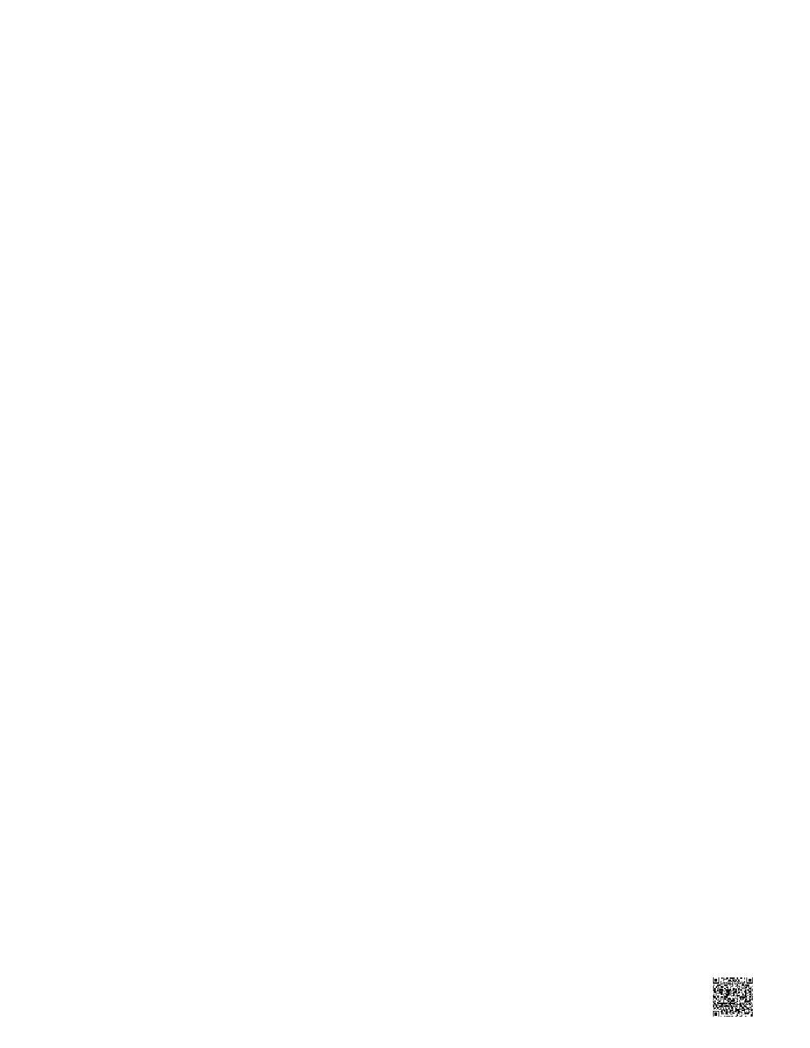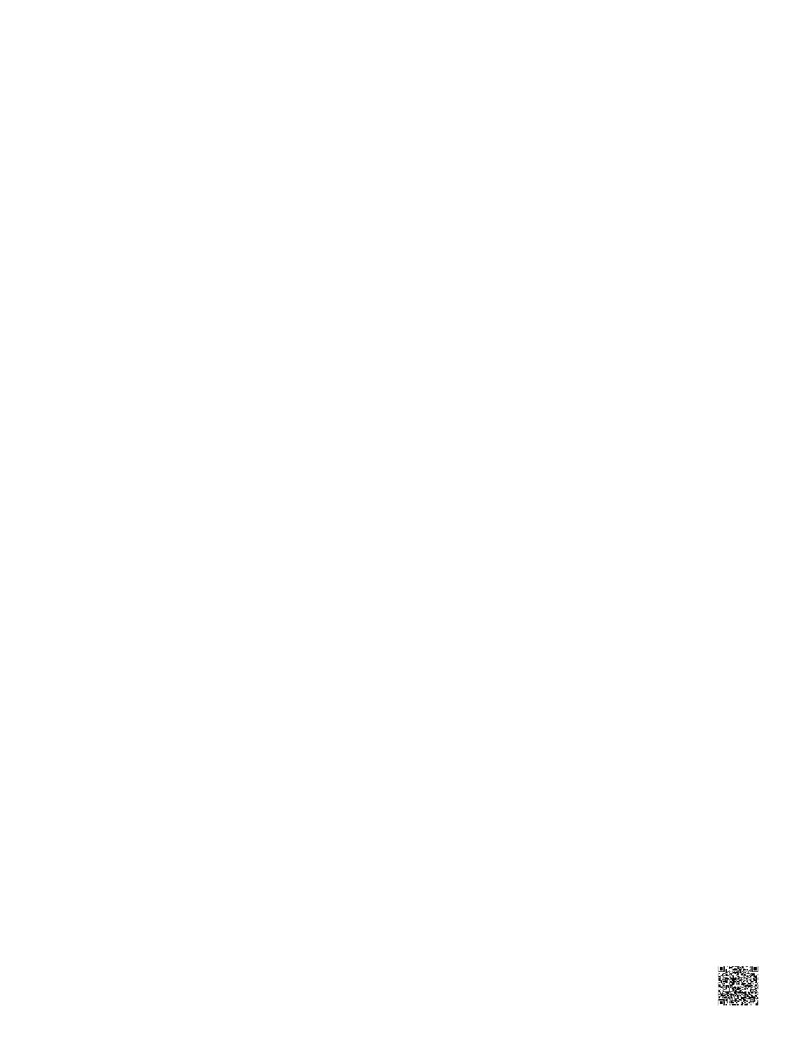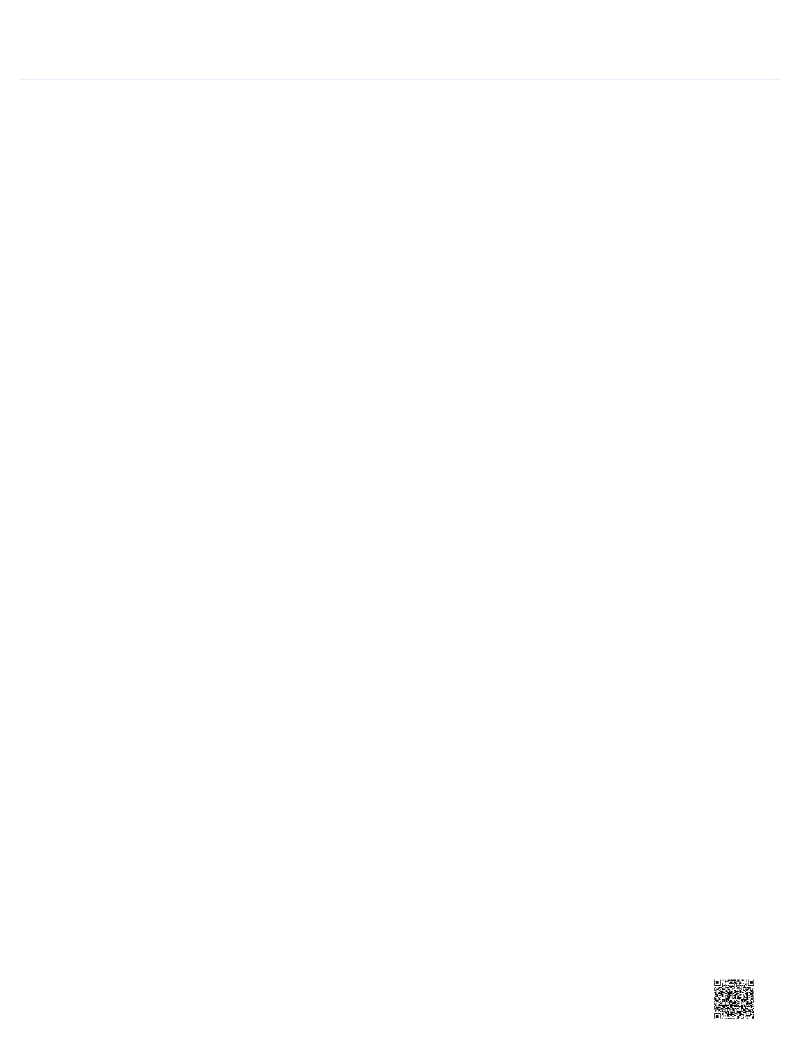